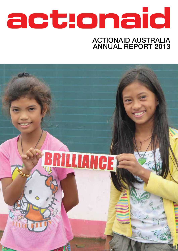# actonaid

### ActionAid Australia Annual Report 2013

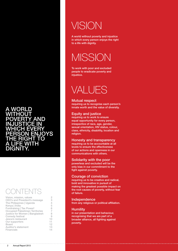#### A world without AND injustice in WHICH EVERY **DN ENJOYS** the right to a life with dignity.

**CONTENTS** 

| Vision, mission, values          | 2  |
|----------------------------------|----|
| CEO's and President's message    | 3  |
| The Philippines   Uganda         | 4  |
| Kenya   India                    | 5  |
| Fundraising   Tax Power!         | 6  |
| Occupied Palestinian Territories |    |
| Justice for Women   Bangladesh   | 8  |
| Comedy festival                  | 9  |
| Jesca's restaurant               | 10 |
| Our supporters                   | 11 |
| <b>Board</b>                     | 12 |
| Auditor's statement              | 13 |
| Financials                       | 14 |

# **VISION**

A world without poverty and injustice in which every person enjoys the right to a life with dignity.

# **MISSION**

To work with poor and excluded people to eradicate poverty and injustice.

# VALUES

#### Mutual respect

requiring us to recognise each person's innate worth and the value of diversity.

#### Equity and justice

requiring us to work to ensure equal opportunity for every person, irrespective of race, age, gender, sexual orientation, HIV status, colour, class, ethnicity, disability, location and religion.

#### Honesty and transparency

requiring us to be accountable at all levels to ensure the effectiveness of our actions and openness in our communications with others.

#### Solidarity with the poor

powerless and excluded will be the only bias in our commitment to the fight against poverty.

#### Courage of conviction

requiring us to be creative and radical, bold and innovative in pursuit of making the greatest possible impact on the root causes of poverty, without fear of failure.

#### Independence

from any religious or political affiliation.

#### **Humility**

in our presentation and behaviour, recognising that we are part of a broader alliance, all fighting against poverty.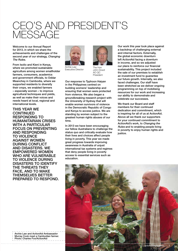# CEO's and President's message

Welcome to our Annual Report for 2013, in which we share the achievements and challenges of the second year of our strategy, Changing The Rules.

From Isolio and Kieni in Kenya, where we promoted sustainable agriculture among women smallholder farmers, consumers, academics and government officials, to Oddar Meanchey in Cambodia, where we supported residents to diversify their crops, we enabled farmers – especially women – to improve agricultural techniques and yields, as well as make their voices and needs heard at local, regional and international levels.

This year we **CONTINUED** responding to humanitarian crises WITH A PARTICULAR focus on preventing and responding to violence against women DURING CONFLICT and disasters. We empowered women WHO ARE VULNERABLE to violence during disasters to identify the threats they face, and to make themselves better prepared to respond.



Archie Law Executive Director



John Dowd AO QC President

Our response to Typhoon Haiyan in the Philippines centred on building womens' leadership and ensuring that women were protected from violence. We also began a groundbreaking research project with the University of Sydney that will enable women survivors of violence in the Democratic Republic of Congo and Kenya to access justice. We are standing by women subject to the greatest human rights abuses of our time.

In 2013 we have been encouraging our fellow Australians to challenge the status quo and critically evaluate how their lives and choices affect people living in poverty. This year we made great progress towards improving awareness in Australia of unjust international tax systems and regimes that deny people living in poverty access to essential services such as education.

Our work this year took place against a backdrop of challenging external and internal factors. Externally, the global economic downturn left ActionAid facing a downturn in income, and so we adjusted our plans to reinforce our financial sustainability. This project included the sale of our premises to establish an investment fund to guarantee our future growth. Internally, we also faced challenges. Our staff have been stretched as we deliver ongoing programming on top of mobilising resources for our work and increasing our ability to demonstrate and celebrate our successes.

We thank our Board and staff members for their continued dedication and commitment, which is inspiring for all of us at ActionAid. Above all we thank our supporters for your continued commitment to ActionAid's work, to Changing the Rules and to enabling people living in poverty to enjoy human rights and justice.



Archie Law and ActionAid Ambassador Murray Cook meet a Cambodian farmer. Photo: Charles Fox/ActionAid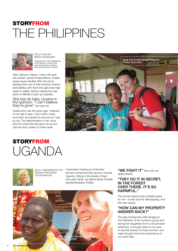# **STORYFROM** THE Philippines



HOLLy MILLER MEDIA MANAGER\* \*Deployed to The Philippines as Emergency Response Communications Advisor following Typhoon Haiyan

After Typhoon Haiyan, I met a 28-yearold woman named Imelda Bama. Imelda saved seven families after the storm, leading them out of their bamboo shacks and battling with them through knee-high water to safety, before making her way alone to Manila to pick up supplies.

She lost six baby cousins in the typhoon. "I can't believe they're gone" she told me.

Imelda and I are the same age. I listened to her tale in awe. I don't think I have ever been as inspired by anyone as I was by her. The determination in her voice and the smile that she gave me as she told her story made my heart swell.



### **STORYFROM** UGANDA



SALLY HENDERSON PhD Senior Program **COORDINATOR** 

I remember meeting an ActionAid women's empowerment group in Kwosir, Uganda. Sitting in the shade of their own grain store, we talked about Female Genital Mutilation (FGM).



"WE FIGHT IT" they told me determinedly.

#### "They do it in secret, in the forest over there. It's so HARMFUL."

The women performed a theatre piece for me – a man and his wife arguing, and the man saying

#### "How can my property answer back?"

The play showed the wife bringing in the members of her women's group and saving her daughters from a circumcision ceremony. It brought tears to my eyes to see the bravery of these women, and really brought home the importance of our work here.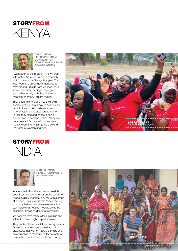



Carol Angir SENIOR PROGRAM Co-ordinator Addressing Violence Against Women

I went back to the roots of my own work with ActionAid when I made a research visit to the coast of Kenya this year. The local women's group have managed to save around 30 girls from violence, child labour and early marriage. They greet each other jovially with Swahili words meaning 'Women, you are awake!'

They often take the girls into their own homes, getting them back to school and back to their families. When it comes time for rapists and attackers to come to trial, they sing and dance outside courtrooms to demand justice. Many are poor peasant farmers – but they save money every month just to help defend the rights of women and girls.



### **STORYFROM**  $INDA$



MARK CHENERY Head of Community Engagement

In a remote Indian village, only accessible by boat, I sat huddled together on the concrete floor of a dimly lit community hall with a group of women. They told me that three years ago, most married women here were forced to stay inside their houses – locked away like prisoners. It was hard for me to imagine.

Yet here we were today, sitting in public and without a man in sight - apart from me.

They spoke of freedom. Of becoming leaders. Of proving to their men, as well as their daughters, that women have the brains and determination to make life better not only for themselves, but for their whole community.

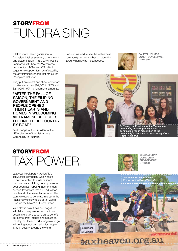# **STORYFROM** FUNDRAISING

It takes more than organisation to fundraise. It takes passion, commitment and determination. That's why I was so impressed with how the Vietnamese community in NSW and WA rallied together to support families affected by the devastating typhoon that struck the Philippines last year.

They put on events and street collections to raise more than \$92,000 in NSW and \$21,000 in WA – phenomenal amounts.

#### "After the fall of Saigon, the Filipino government and people opened their hearts and homes in welcoming Vietnamese refugees fleeing their country BY BOAT."

said Thang Ha, the President of the NSW chapter of the Vietnamese Community in Australia.

I was so inspired to see the Vietnamese community come together to return the favour when it was most needed.



CALISTA HOLMES DONOR DEVELOPMENT MANAGER



# STORYFROM TAX POWER!



WILLIAM GRAY **COMMUNITY** ENGAGEMENT OFFICER

Last year I took part in ActionAid's Tax Justice campaign, which seeks to draw attention to multi-national corporations exploiting tax loopholes in poor countries, robbing them of much needed tax dollars that fund education, health and other essential services. The stunt we used to generate interest in the traditionally unsexy topic of tax was a 'Pop-up tax haven' on Bondi Beach.

With plastic palm trees and bags filled with fake money we turned the iconic beach into a tax dodger's paradise! We got some great images and a buzz on the day, but there is still a long way to go in bringing about tax justice for people living in poverty around the world.

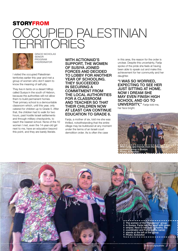### **STORYFROM**

# OCCUPIED PAI territories



GRACE NICHOLAS **SENIOR** PROGRAM **COORDINATOR** 

I visited the occupied Palestinian territories earlier this year and met a group of women who don't seem to know the meaning of self-pity.

They live in tents on a desert hilltop called Susiya in the south of Hebron, because the authorities will not allow them to build permanent homes. Their primary school is a demountable classroom which, until this year, only catered for children up to Grade 5. After that, the children had to walk for two hours, past hostile Israeli settlements and through military checkpoints, to reach the nearest school. None of the 10 women I met, even the 14-year-old girl next to me, have an education beyond this point, and they are barely literate.

WITH ACTIONAID'S support, the women of Susiya joined forces and decided to lobby for another year of schooling. They succeeded in securing a commitment from the local authorities for a classroom and teacher so that their children now at least can continue education to Grade 6.

Farija, a mother of six, told me she was thrilled, notwithstanding that the entire village may be bulldozed at any moment under the terms of an Israeli court demolition order. As is often the case

in this area, the reason for the order is unclear. Despite this uncertainty, Farija spoke of the pride she feels at having been able to speak out and make this achievement for her community and her daughter.

"I was so worried, expecting to see her just sitting at home. Now I dream she may even finish high school and go to **UNIVERSITY,"** Farija told me, her face bright.



The women of the "Resilience" group in Susiya. Farija has the scarf with green stripes. Next to her (left) is Radha, the coordinator and Farija (same name) stands at the left of the group. Photo: ActionAid

naid.org/australia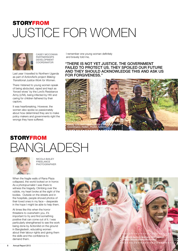# STORYFROM JUSTICE FOR WOMEN



CASEy MCCOWAN **PARTNERSHIPS** Development **COORDINATOR** 

Last year I travelled to Northern Uganda as part of ActionAid's project Making Transitional Justice Work for Women.

There I listened to young women speak of being abducted, raped and kept as 'forced wives' by the Lord's Resistance Army (LRA), being infected by HIV and caring for children fathered by their captors.

It was heartbreaking. However, the women also spoke so passionately about how determined they are to make policy makers and governments right the wrongs they have suffered.

I remember one young woman definitely and bravely told me,

"There is not yet justice. The government failed to protect us. They spoiled our future and they should acknowledge this and ask us for forgiveness."



# STORYFROM BANGLADESH



Nicola BailEy **FREELANCE PHOTOGRAPHER** 

When the fragile walls of Rana Plaza collapsed, the world looked on in horror. As a photojournalist I was there to witness the tragedy. Climbing over the rubble, my heart broke at the sight of the bodies. Outside on the streets and in the hospitals, people shoved photos of their loved ones in my face – desperate in the hope I might be able to help them.

At times like this when the horror threatens to overwhelm you, it's important to try and find something positive that can come out of it. I was particularly strengthened to see the work being done by ActionAid on the ground in Bangladesh, educating women about their labour rights and giving them the skills and the confidence to demand them.

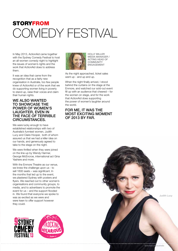# **STORYFROM** COMEDY FESTIVAL

In May 2013, ActionAid came together with the Sydney Comedy Festival to host an all-women comedy night to highlight the issues of women's rights and the work that ActionAid does to address them.

It was an idea that came from the recognition that as a fairly new organisation in Australia, too few people knew of ActionAid or of the work that we do supporting women living in poverty to stand up, raise their voices and claim their human rights.

#### WE ALSO WANTED to showcase the power of women's laughter, even in the face of terrible circumstances.

We were lucky enough to have established relationships with two of Australia's funniest women, Judith Lucy and Claire Hooper, both of whom assured us that we had a killer idea on our hands, and generously agreed to take to the stage on the night.

We were thrilled when they were joined on the line-up by Wendy Harmer, George McEncroe, international act Gina Yashere and more.

With the Enmore Theatre as our venue, we knew the challenge upon us - to sell 1600 seats – was significant. In the months that led up to the event, we plastered Sydney with posters and flyers. We reached out to other women's organisations and community groups, to media, and to advertisers to promote the event for us – and the support flooded in. We found that everyone we spoke to was as excited as we were and were keen to offer support however they could.





HOLLy MILLER MEDIA MANAGER / ACTING HEAD OF **COMMUNITY** ENGAGEMENT

As the night approached, ticket sales went up - and up and up.

When the night finally arrived, I stood behind the curtains on the stage at the Enmore, and watched our sold-out event fill up with an audience that cheered – for the women on stage, and for the work that ActionAid does supporting the power of women's laughter around the world.

#### For me, it was the most exciting moment of 2013 by far.

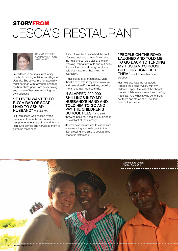### STORYFROM JESCA'S RESTAURANT



GEMMA PITCHER **COMMUNICATIONS** SPECIALIST

I met Jesca in her restaurant, a tiny little brick building outside her village in Uganda. She served me her speciality, millet porridge with tamarind, and told me how she'd gone from never having any money of her own to owning her own business.

#### "If I even wanted to buy a bar of soap, I had to ask my **HUSBAND"** she told me.

But then Jesca was chosen by the members of her ActionAid women's group to receive a bag of groundnuts on loan. She planted and harvested them to get three more bags.

It soon turned out Jesca had the soul of a true businesswoman. She shelled the nuts and set up a stall at the ferry crossing, selling fried nuts and nut butter. It was a triumph – all her groundnuts sold out in two months, giving her over \$125.

"I just looked at all that money. More than I'd ever held in my hand in my life, and mine alone!" she told me, breaking into a huge gap-toothed smile.

#### "I slapped 200,000 shillings into my husband's hand and told him to go and pay the children's SCHOOL FEES!" she said,

throwing back her head and laughing in pure delight at the memory.

Jesca's next venture was to rise at 4am every morning and walk back to the river crossing, this time to cook and sell chapattis (flatbreads).

#### "People on the road laughed and told me to go back to tending my husband's house. But I just ignored

**THEM"** she told me, her face stubborn.

Her next idea was the restaurant. "I made the bricks myself, with my children. I spent the rest of the chapatti money on labourers, cement and roofing materials. And when it was done, I just sat there and stared at it. I couldn't believe it was mine!"

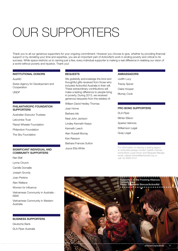# Our Supporters

Thank you to all our generous supporters for your ongoing commitment. However you choose to give, whether by providing financial support or by donating your time and expertise, you are an important part of ActionAid's work in ending poverty and critical to its success. While space restricts us to naming just a few, every individual supporter is making a real difference in realising our vision of a world without poverty and injustice. Thank you!

#### Institutional Donors

AusAID

Swiss Agency for Development and Cooperation

UNDP

#### PHILANTHROPIC FOUNDATION SUPPORTERS

Australian Executor Trustees

Letcombe Trust

Planet Wheeler Foundation

Philandron Foundation

The Sky Foundation

#### SIGNIFICANT INDIVIDUAL AND COMMUNITY SUPPORTERS

Nan Ball

- Lynne Church
- Camille Domaille
- Joseph Grundy

Joan Perkins

Alan Wallace

Women for Influence

Vietnamese Community in Australia - NSW

Vietnamese Community in Western Australia

#### BUSINESS SUPPORTERS

Deutsche Bank DLA Piper Australia

#### **BEQUESTS**

We gratefully acknowledge the kind and thoughtful gifts received from those who included ActionAid Australia in their will. These extraordinary contributions will make a lasting difference to people living in poverty. During 2013, we received generous bequests from the estates of:

William David Hedley Thomas Joan Horne

Barbara Ide

Neal John Jackson

Lindley Kenneth Keays

Kenneth Leech

Alan Russell Murray

- Ken Rawson
- Barbara Frances Sutton

Joyce Etta White

#### **AMBASSADORS**

Judith Lucy Tracey Spicer Claire Hooper Murray Cook

#### Pro Bono SUPPORTERS

DLA Piper Minter Ellison Sparke Helmore Williamson Legal Quay Legal

For information on leaving a lasting legacy to ActionAid please contact Calista Holmes, ActionAid's Loyal Donor and Bequest Manger, email: calista.holmes@actionaid.org or call: 02 9565 9121

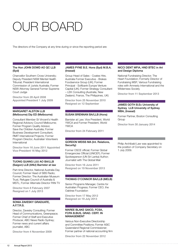# IUR BOAR

The directors of the Company at any time during or since the reporting period are:

#### The Hon JOHN DOWD AO OC LLB (Syd)

Chancellor Southern Cross University; Deputy President NSW Mental Health Tribunal; President International Commission of Jurists Australia; Former NSW Attorney General Former Supreme Court Judge

Director from 28 April 2008 Appointed President 1 July 2009

#### Margaret Alston LLB (Melbourne) Dip ED (Melbourne)

Consultant Member St Vincent's Health Regional Advisory Council Melbourne; Former Program Quality Advisor, Save the Children Australia; Former Business Development Consultant, RMIT International Projects; Former Program Director, Australian Volunteers International

Director from 16 June 2011 Appointed Vice-President 16 May 2012

#### Tuong Quang Luu AO BA/LLB (Saigon) LLB (ANU) Barrister at law

Part-time Director, National Australia Day Council; Former Head of SBS Radio; Former Director: The Australian Museum Trust, Refugee Council of Australia & MSTL; Former Alternate Director PAN TV

Director from 8 February 2007 Resigned on 1 July 2013

#### Sonia Zavesky Graduate, A.F.T.R.S.

Director, Zavesky Consulting; Former Head of Communications, Greenpeace; Former Chief of Staff and Executive Producer, ABC News Radio Sydney; Former news and current affairs journalist, ABC

Director from 4 November 2009

#### James Pyne B.E. Hons (Syd) M.B.A. (Insead)

Group Head of Sales - Coates Hire, Australia Former Executive - Brakes Foodservice Group (UK); Former Principal - Softbank Europe Venture Capital (UK); Former Strategy Consultant – LEK Consulting (Australia, New Zealand, France, The Philippines, UK)

Director from 25 November 2010 Resigned on 12 September

#### Susan Brennan BA/LLB (Hons)

Barrister at Law; Vice President, World YWCA and Former President, World **YWCA** 

Director from 24 February 2011

#### GORDON WEISS MA (Int. Relations, Security)

Former OSCE official; Former Global Emergencies Official (UNICEF); Former Spokesperson (UN Sri Lanka) Author; Journalist with The Global Mail

Director from 16 June 2011 Resigned on 19 November 2013

#### Thomas O'Connor BA/LLB (Melb)

Senior Programs Manager, Centre for Australian Progress; Former CEO, the Oaktree Foundation

Director from 17 May 2012 Resigned on 19 July 2013

#### Maree Blake GAICD, FCSA, FCPA B.Bus, Grad. Cert. in Management

Various Non-Executive Directorship and Committee Positions; Former ASIC Queensland Regional Commissioner; Former partner of national accounting firm

Director from 22 November 2012

#### Nicci Dent MFIA, HND BTEC in Art and Design Diploma

National Fundraising Director; The Heart Foundation; Formerly Director of Fundraising MSF; Various Fundraising roles with Amnesty International and the Wilderness Society

Director from 11 September 2013

#### James Goth B.Ec University of Sydney LLB University of Sydney MBA, (Insead)

Former Partner, Boston Consulting Group

Director from 30 January 2014

Company Secretary

Philip Archibald Law was appointed to the position of Company Secretary on 1 July 2009.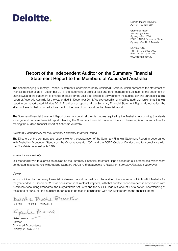# Deloitte.

Deloitte Touche Tohmatsu ABN 74 490 121 060

Grosvenor Place 225 George Street Sydney NSW 2000 PO Box N250 Grosvenor Place Sydney NSW 1217 Australia

DX 10307SSE Tel: +61 (0) 2 9322 7000 Fax: +61 (0) 2 9322 7001 www.deloitte.com.au

#### Report of the Independent Auditor on the Summary Financial Statement Report to the Members of ActionAid Australia

The accompanying Summary Financial Statement Report prepared by ActionAid Australia, which comprises the statement of financial position as at 31 December 2013, the statement of profit or loss and other comprehensive income, the statement of cash flows and the statement of change in equity for the year then ended, is derived from the audited general purpose financial report of ActionAid Australia for the year ended 31 December 2013. We expressed an unmodified audit opinion on that financial report in our report dated 15 May 2014. The financial report and the Summary Financial Statement Report do not reflect the effects of events that occurred subsequent to the date of our report on that financial report.

The Summary Financial Statement Report does not contain all the disclosures required by the Australian Accounting Standards for a general purpose financial report. Reading the Summary Financial Statement Report, therefore, is not a substitute for reading the audited financial report of ActionAid Australia.

#### Directors' Responsibility for the Summary Financial Statement Report

The Directors of the company are responsible for the preparation of the Summary Financial Statement Report in accordance with Australian Accounting Standards, the Corporations Act 2001 and the ACFID Code of Conduct and for compliance with the Charitable Fundraising Act 1991.

#### Auditor's Responsibility

Our responsibility is to express an opinion on the Summary Financial Statement Report based on our procedures, which were conducted in accordance with Auditing Standard ASA 810 Engagements to Report on Summary Financial Statements.

#### **Opinion**

In our opinion, the Summary Financial Statement Report derived from the audited financial report of ActionAid Australia for the year ended 31 December 2013 is consistent, in all material respects, with that audited financial report, in accordance with Australian Accounting Standards, the Corporations Act 2001 and the ACFID Code of Conduct. For a better understanding of the scope of our audit, this auditor's report should be read in conjunction with our audit report on the financial report.

Deloite Tardy Tonneth

DELOITTE TOUCHE TOHMATSU

parte Peese

Gaile Pearce Partner Chartered Accountants Sydney, 23 May 2014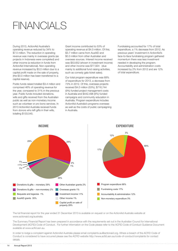# FINANCIAI S

During 2013, ActionAid Australia's operating revenue reduced by 34% to \$7.5 million. The reduction in operating revenue was mainly in overseas grants (as projects in Indonesia were completed) and other income (a reduction in funds from ActionAid International). Non-operating revenue increased by \$3.0 million due to a capital profit made on the sale of property, (the \$3.0 million has been transferred to a capital reserve).

Public funds raised totalled \$3.4 million and comprised 46% of operating revenue for the year, compared to 31% in the previous year. Public funds included donations, wills and gifts received from the Australian public as well as non-monetary income such as volunteer or pro bono services. In 2013 ActionAid Australia received funds from donors who left gifts in their wills, totalling \$133,545.

Grant income contributed to 53% of operating revenue at \$4.0 million. Of this, \$3.7 million came from AusAID and \$0.3 million from other Australian and overseas sources. Interest income received was \$53,652 (shown in investment income) and other income was \$77,924 (due mainly to additional fund raising activities, such as comedy gala ticket sales).

Our total program expenditure was 68% of expenditure for 2013, a decrease from 73% in 2012. Of this, overseas projects received \$4.0 million (53%), \$716,744 (9%) funded project management costs in Australia and \$442,498 (6%) funded campaigns and community education in Australia. Program expenditure includes ActionAid Australia's programs overseas as well as the costs of public campaigning in Australia.

Fundraising accounted for 17% of total expenditure, a 1% decrease from 2012. As previous years' investment in ActionAid's face-to-face fundraising program gathered momentum there was less investment needed in developing the program. Accountability and administration costs increased by 2% from 2012 and are 12% of total expenditure.



The full financial report for the year ended 31 December 2013 is available on request or on the ActionAid Australia website at www.actionaid.org/australia.

The Summary Financial Report has been prepared in accordance with the requirements set out in the Australian Council for International Development (ACFID) Code of Conduct. For further information on the Code please refer to the ACFID Code of Conduct Guidance Document available at www.acfid.asn.au.

In order to lodge a complaint against ActionAid Australia please email complaints.au@actionaid.org. Where a breach of the ACFID Code of Conduct is considered to have occurred please see the ACFID website http://www.acfid.asn.au/code-of-conduct/complaints for contact details.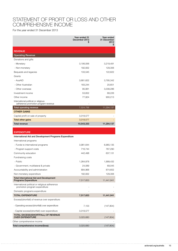#### Statement of Profit or Loss and Other Comprehensive Income

For the year ended 31 December 2013

|                                                                                 | Year ended 31<br>December 2013<br>S | Year ended<br>31 December<br>2012<br>\$ |
|---------------------------------------------------------------------------------|-------------------------------------|-----------------------------------------|
| <b>REVENUE</b>                                                                  |                                     |                                         |
| <b>Operating Revenue</b>                                                        |                                     |                                         |
| Donations and gifts                                                             |                                     |                                         |
| - Monetary                                                                      | 3,106,056                           | 3,219,491                               |
| - Non-monetary                                                                  | 192,832                             | 129,306                                 |
| Bequests and legacies                                                           | 133,545                             | 122,622                                 |
| Grants                                                                          |                                     |                                         |
| - AusAID                                                                        | 3,681,622                           | 3,795,342                               |
| - Other Australian                                                              | 183,244                             | 20,651                                  |
| - Other overseas                                                                | 95,881                              | 3,038,286                               |
| Investment income                                                               | 53,652                              | 68,226                                  |
| Other income                                                                    | 77,924                              | 900,213                                 |
| International political or religious<br>adherence promotion program revenue     |                                     |                                         |
| Total operating revenue                                                         | 7,524,756                           | 11,294,137                              |
| <b>OTHER GAINS</b>                                                              |                                     |                                         |
| Capital profit on sale of property                                              | 3,018,577                           |                                         |
| <b>Total other gains</b>                                                        | 3,018,577                           |                                         |
| <b>Total revenue</b>                                                            | 10,543,333                          | 11,294,137                              |
|                                                                                 |                                     |                                         |
| <b>EXPENDITURE</b>                                                              |                                     |                                         |
| International Aid and Development Programs Expenditure                          |                                     |                                         |
| International programs                                                          |                                     |                                         |
| - Funds to international programs                                               | 3,981,644                           | 6,965,135                               |
| - Program support costs                                                         | 716,744                             | 767,290                                 |
| Community education                                                             | 442,498                             | 637,131                                 |
| Fundraising costs                                                               |                                     |                                         |
| - Public                                                                        | 1,264,878                           | 1,999,432                               |
| - Government, multilateral & private                                            | 24,089                              | 69,045                                  |
| Accountability and administration                                               | 894,968                             | 874,602                                 |
| Non-monetary expenditure                                                        | 192,832                             | 129,306                                 |
| <b>Total International Aid and Development</b><br><b>Programs Expenditure</b>   | 7,517,653                           | 11,441,941                              |
| International political or religious adherence<br>promotion program expenditure |                                     |                                         |
| Domestic programs expenditure                                                   |                                     |                                         |
| <b>TOTAL EXPENDITURE</b>                                                        | 7,517,653                           | 11,441,941                              |
| Excess/(shortfall) of revenue over expenditure:                                 |                                     |                                         |
| - Operating excess/(shortfall) over expenditure                                 | 7,103                               | (147, 804)                              |
| - Capital excess/(shortfall) over expenditure                                   | 3,018,577                           |                                         |
| TOTAL EXCESS/(SHORTFALL) OF REVENUE<br><b>OVER EXPENDITURE</b>                  | 3,025,680                           | (147, 804)                              |
| Other comprehensive income                                                      |                                     |                                         |
| Total comprehensive income/(loss)                                               | 3,025,680                           | (147, 804)                              |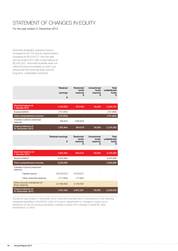### STATEMENT OF CHANGES IN EQUITY

For the year ended 31 December 2013

ActionAid Australia's operating reserve increased by \$7,103 and its capital reserve increased by \$3,018,577 over the year and we ended 2013 with a total reserve of \$5,242,043. ActionAid Australia does not utilise all funds immediately so that it can ensure that the funds are best used for long-term, sustainable outcomes.

|                                                  | Retained<br>earnings<br>\$ | Restricted<br>funds<br>reserves<br>S  | Unrestricted<br>funds<br>reserves<br>S         | Total<br>undistributed<br>funds<br>\$ |
|--------------------------------------------------|----------------------------|---------------------------------------|------------------------------------------------|---------------------------------------|
|                                                  |                            |                                       |                                                |                                       |
| Opening balance at<br>1 January 2012             | 1,340,805                  | 973,362                               | 50,000                                         | 2,364,167                             |
| Surplus/(deficit)                                | (147, 804)                 | ÷.                                    | L.                                             | (147, 804)                            |
| Total comprehensive income                       | (147, 804)                 |                                       |                                                | (147, 804)                            |
| Transfers to/(from) restricted<br>reserves       | 168,843                    | (168, 843)                            |                                                |                                       |
| Closing balance at<br>31 December 2012           | 1,361,844                  | 804,519                               | 50,000                                         | 2,216,363                             |
|                                                  |                            |                                       |                                                |                                       |
|                                                  | Retained earnings<br>\$    | Restricted<br>funds<br>reserves<br>\$ | <b>Unrestricted</b><br>funds<br>reserves<br>\$ | Total<br>undistributed<br>funds<br>\$ |
|                                                  |                            |                                       |                                                |                                       |
| Opening balance at<br>1 January 2013             | 1,361,844                  | 804,519                               | 50,000                                         | 2,216,363                             |
| Surplus/(deficit)                                | 3,025,680                  | ÷                                     | $\overline{a}$                                 | 3,025,680                             |
| Total comprehensive income                       | 3,025,680                  |                                       |                                                | 3,025,680                             |
| Transfers to/(from) restricted<br>reserves       |                            |                                       |                                                |                                       |
| - Capital reserve                                | (3,018,577)                | 3,018,577                             |                                                |                                       |
| - Other restricted reserves                      | (117, 925)                 | 117,925                               |                                                |                                       |
| Other amounts transferred to/<br>(from) reserves | (3, 136, 502)              | 3,136,502                             |                                                |                                       |
| Closing balance at<br>31 December 2013           | 1,251,022                  | 3,941,021                             | 50,000                                         | 5,242,043                             |

During the year ended 31 December 2013, ActionAid Australia had no transactions in the following categories specified in the ACFID Code of Conduct: adjustments or changes in equity due to adoptions of new accounting standards, changes in equity from changes in asset fair value transactions, or other.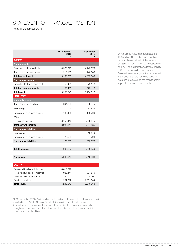### STATEMENT OF FINANCIAL POSITION

As at 31 December 2013

|                                  | 31 December<br>2013<br>S | 31 December<br>2012<br>S |
|----------------------------------|--------------------------|--------------------------|
| <b>ASSETS</b>                    |                          |                          |
| <b>Current assets</b>            |                          |                          |
| Cash and cash equivalents        | 8,986,075                | 4,442,979                |
| Trade and other receivables      | 212,180                  | 446,530                  |
| <b>Total current assets</b>      | 9,198,255                | 4,889,509                |
| Non-current assets               |                          |                          |
| Property, plant and equipment    | 52,485                   | 575,113                  |
| Total non-current assets         | 52,485                   | 575,113                  |
| <b>Total assets</b>              | 9,250,740                | 5,464,622                |
| <b>LIABILITIES</b>               |                          |                          |
| <b>Current liabilities</b>       |                          |                          |
| Trade and other payables         | 694,238                  | 290,475                  |
| <b>Borrowings</b>                |                          | 83,836                   |
| Provisions - employee benefits   | 130,466                  | 143,700                  |
| Other                            |                          |                          |
| - Deferred revenue               | 3,158,440                | 2,366,875                |
| <b>Total current liabilities</b> | 3,983,144                | 2,884,886                |
| <b>Non-current liabilities</b>   |                          |                          |
| <b>Borrowings</b>                |                          | 318,579                  |
| Provisions - employee benefits   | 25,553                   | 44,794                   |
| Non-current liabilities          | 25,553                   | 363,373                  |
|                                  |                          |                          |
| <b>Total liabilities</b>         | 4,008,697                | 3,248,259                |
|                                  |                          |                          |
| Net assets                       | 5,242,043                | 2,216,363                |
|                                  |                          |                          |
| <b>EQUITY</b>                    |                          |                          |
| Restricted funds capital reserve | 3,018,577                |                          |

Of ActionAid Australia's total assets of \$9.3 million, \$9.0 million was held as cash, with around half of this amount being held in short-term term deposits at banks. The organisation's largest liability, at \$3.2 million, is deferred revenue. Deferred revenue is grant funds received in advance that are yet to be used for overseas projects and the management support costs of those projects.

At 31 December 2013, ActionAid Australia had no balances in the following categories specified in the ACFID Code of Conduct: inventories, assets held for sale, other financial assets, non-current trade and other receivables, investment property, intangibles, other non-current asset, current tax liabilities, other financial liabilities or other non-current liabilities.

Restricted funds other reserves 802,444 804,519 Unrestricted funds reserves 60,000 50,000 50,000 Retained earnings 1,251,022 1,361,844 **Total equity** 6,242,043 2,216,363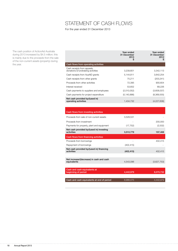### STATEMENT OF CASH FLOWS

For the year ended 31 December 2013

The cash position of ActionAid Australia during 2013 increased by \$4.5 million; this is mainly due to the proceeds from the sale of the non-current assets (property) during the year.

| Year ended<br>31 December<br>2013<br>S                            |               | Year ended<br>31 December<br>2012<br>S |
|-------------------------------------------------------------------|---------------|----------------------------------------|
| Cash flows from operating activities                              |               |                                        |
| Cash receipts from appeals,<br>donations & fundraising activities | 3,239,601     | 3,342,113                              |
| Cash receipts from AusAID grants                                  | 5,144,811     | 3,642,254                              |
| Cash receipts from other grants                                   | 75,211        | (203, 241)                             |
| Proceeds from other activities                                    | 72.395        | 900.604                                |
| Interest received                                                 | 53,652        | 68,226                                 |
| Cash payments to suppliers and employees                          | (2,010,052)   | (3,608,037)                            |
| Cash payments for project expenditure                             | (5, 140, 886) | (8,369,555)                            |
| Net cash provided by/(used in)<br>operating activities            | 1.434.732     | (4,227,636)                            |

| Cash flows from investing activities                    |            |             |
|---------------------------------------------------------|------------|-------------|
| Proceeds from sale of non-current assets                | 3,528,531  |             |
| Proceeds from investment                                |            | 200,000     |
| Payments for property, plant and equipment              | (17, 752)  | (2,532)     |
| Net cash provided by/(used in) investing<br>activities  | 3,510,779  | 197.468     |
| Cash flows from financing activities                    |            |             |
| Proceeds from borrowings                                |            | 402,415     |
| Repayment of borrowings                                 | (402, 415) |             |
| Net cash provided by/(used in) financing<br>activities  | (402, 415) | 402.415     |
|                                                         |            |             |
| Net increase/(decrease) in cash and cash<br>equivalents | 4,543,096  | (3,627,753) |
|                                                         |            |             |
| Cash and cash equivalents at<br>beginning of period     | 4,442,979  | 8,070,732   |
|                                                         |            |             |
| Cash and cash equivalents at end of period              | 8,986,075  | 4,442,979   |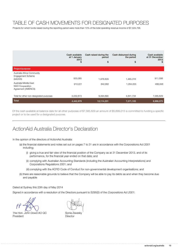#### Table of cash movements for designated purposes

Projects for which funds raised during the reporting period were more than 10% of the total operating revenue income of \$7,524,756.

|                                                                                                                                     | Cash available<br>at 1 January<br>2013<br>S | Cash raised during the<br>period<br>\$ | Cash disbursed during<br>the period<br>\$ | Cash available<br>at 31 December<br>2013<br>S |
|-------------------------------------------------------------------------------------------------------------------------------------|---------------------------------------------|----------------------------------------|-------------------------------------------|-----------------------------------------------|
| Project/purpose                                                                                                                     |                                             |                                        |                                           |                                               |
| Australia Africa Community<br><b>Engagement Scheme</b><br>(AACES)<br>Australia Middle East<br>NGO Cooperation<br>Agreement (AMENCA) | 500.085<br>910,221                          | 1,876,829<br>842,682                   | 1,465,316<br>1,264,055                    | 911,598<br>488,848                            |
| Total for other non-designated purposes<br><b>Total</b>                                                                             | 3,032,673<br>4,442,979                      | 9,394,690<br>12,114,201                | 4,841,734<br>7,571,105                    | 7,585,629<br>8,986,075                        |

Of the cash available at balance date for all other purposes of \$7,585,629 an amount of \$5,699,015 is committed to funding a specific project or to be used for a designated purpose.

#### ActionAid Australia Director's Declaration

In the opinion of the directors of ActionAid Australia:

- (a) the financial statements and notes set out on pages 7 to 31 are in accordance with the Corporations Act 2001 including;
	- (i) giving a true and fair view of the financial position of the Company as at 31 December 2013, and of its performance, for the financial year ended on that date; and
	- (ii) complying with Australian Accounting Standards (including the Australian Accounting Interpretations) and Corporations Regulations 2001; and
	- (iii) complying with the ACFID Code of Conduct for non-governmental development organisations; and
- (b) there are reasonable grounds to believe that the Company will be able to pay its debts as and when they become due and payable

Dated at Sydney this 23th day of May 2014

Signed in accordance with a resolution of the Directors pursuant to S295(5) of the Corporations Act 2001:

The Hon. John Dowd AO QC President

Sonia Zavesky **Director**